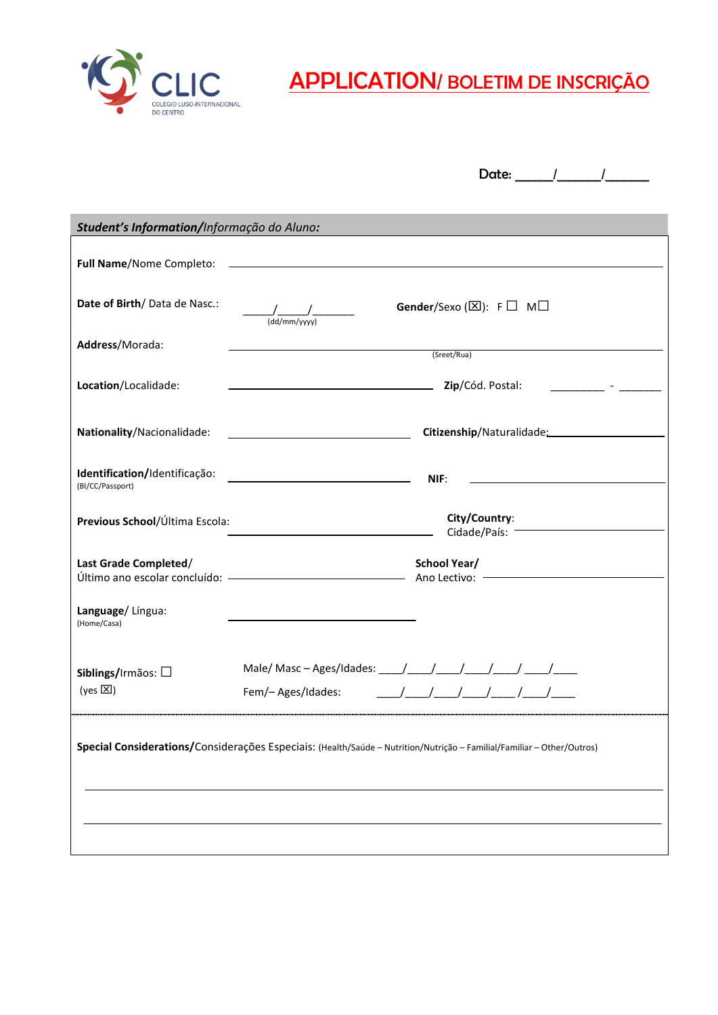

CLIC <u>APPLICATION/ BOLETIM DE INSCRIÇÃO</u>

Date: \_\_\_\_\_\_/\_\_\_\_\_\_\_/\_\_\_\_\_\_\_

| Student's Information/Informação do Aluno:                                                                             |                                                                                                                                                                                                                                                                                                                                                                                                                                                                                                               |  |
|------------------------------------------------------------------------------------------------------------------------|---------------------------------------------------------------------------------------------------------------------------------------------------------------------------------------------------------------------------------------------------------------------------------------------------------------------------------------------------------------------------------------------------------------------------------------------------------------------------------------------------------------|--|
|                                                                                                                        |                                                                                                                                                                                                                                                                                                                                                                                                                                                                                                               |  |
| Date of Birth/Data de Nasc.:                                                                                           | Gender/Sexo ( $\boxtimes$ ): F $\Box$ M $\Box$<br>$\frac{1}{(dd/mm/yyyy)}$                                                                                                                                                                                                                                                                                                                                                                                                                                    |  |
| Address/Morada:                                                                                                        | (Sreet/Rua)                                                                                                                                                                                                                                                                                                                                                                                                                                                                                                   |  |
| Location/Localidade:                                                                                                   | <b>Zip/Cód. Postal:</b>                                                                                                                                                                                                                                                                                                                                                                                                                                                                                       |  |
| Nationality/Nacionalidade:                                                                                             | <u> 1989 - Johann Barbara, martin amerikan basar da</u>                                                                                                                                                                                                                                                                                                                                                                                                                                                       |  |
| Identification/Identificação:<br>(BI/CC/Passport)                                                                      | <u> 1989 - Jan Barbara Barat, politik eta politik eta politik eta politik eta politik eta politik eta politik e</u><br>NIF:                                                                                                                                                                                                                                                                                                                                                                                   |  |
| Previous School/Última Escola:                                                                                         | City/Country:<br>Cidade/País: -                                                                                                                                                                                                                                                                                                                                                                                                                                                                               |  |
| Last Grade Completed/                                                                                                  | <b>School Year/</b><br>Último ano escolar concluído: ———————————————————— Ano Lectivo: —————————————                                                                                                                                                                                                                                                                                                                                                                                                          |  |
| Language/Lingua:<br>(Home/Casa)                                                                                        |                                                                                                                                                                                                                                                                                                                                                                                                                                                                                                               |  |
| Siblings/Irmãos: $\square$<br>(yes $\boxtimes$ )                                                                       | Male/ Masc - Ages/Idades: ____/ ____/ ____/ ____/ ____/ ____/<br>$\begin{tabular}{c} \begin{tabular}{c} \textbf{\textit{m}} & \textbf{\textit{m}} & \textbf{\textit{m}} & \textbf{\textit{m}} & \textbf{\textit{m}} \\ \end{tabular} \end{tabular} \end{tabular} \end{tabular} \end{tabular} \end{tabular} \label{tab:2} \begin{tabular}{c} \textbf{\textit{m}} & \textbf{\textit{m}} & \textbf{\textit{m}} & \textbf{\textit{m}} & \textbf{\textit{m}} \\ \end{tabular} \end{tabular}$<br>Fem/- Ages/Idades: |  |
| Special Considerations/Considerações Especiais: (Health/Saúde - Nutrition/Nutrição - Familial/Familiar - Other/Outros) |                                                                                                                                                                                                                                                                                                                                                                                                                                                                                                               |  |
|                                                                                                                        |                                                                                                                                                                                                                                                                                                                                                                                                                                                                                                               |  |
|                                                                                                                        |                                                                                                                                                                                                                                                                                                                                                                                                                                                                                                               |  |